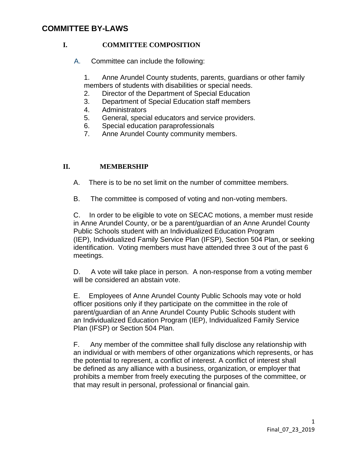# **COMMITTEE BY-LAWS**

### **I. COMMITTEE COMPOSITION**

A. Committee can include the following:

1. Anne Arundel County students, parents, guardians or other family members of students with disabilities or special needs.

- 2. Director of the Department of Special Education
- 3. Department of Special Education staff members
- 4. Administrators
- 5. General, special educators and service providers.
- 6. Special education paraprofessionals
- 7. Anne Arundel County community members.

### **II. MEMBERSHIP**

- A. There is to be no set limit on the number of committee members.
- B. The committee is composed of voting and non-voting members.

C. In order to be eligible to vote on SECAC motions, a member must reside in Anne Arundel County, or be a parent/guardian of an Anne Arundel County Public Schools student with an Individualized Education Program (IEP), Individualized Family Service Plan (IFSP), Section 504 Plan, or seeking identification. Voting members must have attended three 3 out of the past 6 meetings.

D. A vote will take place in person. A non-response from a voting member will be considered an abstain vote.

E. Employees of Anne Arundel County Public Schools may vote or hold officer positions only if they participate on the committee in the role of parent/guardian of an Anne Arundel County Public Schools student with an Individualized Education Program (IEP), Individualized Family Service Plan (IFSP) or Section 504 Plan.

F. Any member of the committee shall fully disclose any relationship with an individual or with members of other organizations which represents, or has the potential to represent, a conflict of interest. A conflict of interest shall be defined as any alliance with a business, organization, or employer that prohibits a member from freely executing the purposes of the committee, or that may result in personal, professional or financial gain.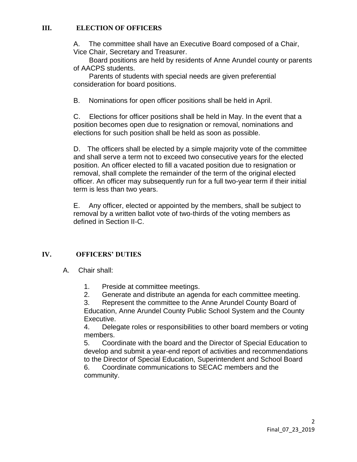### **III. ELECTION OF OFFICERS**

A. The committee shall have an Executive Board composed of a Chair, Vice Chair, Secretary and Treasurer.

Board positions are held by residents of Anne Arundel county or parents of AACPS students.

Parents of students with special needs are given preferential consideration for board positions.

B. Nominations for open officer positions shall be held in April.

C. Elections for officer positions shall be held in May. In the event that a position becomes open due to resignation or removal, nominations and elections for such position shall be held as soon as possible.

D. The officers shall be elected by a simple majority vote of the committee and shall serve a term not to exceed two consecutive years for the elected position. An officer elected to fill a vacated position due to resignation or removal, shall complete the remainder of the term of the original elected officer. An officer may subsequently run for a full two-year term if their initial term is less than two years.

E. Any officer, elected or appointed by the members, shall be subject to removal by a written ballot vote of two-thirds of the voting members as defined in Section II-C.

# **IV. OFFICERS' DUTIES**

- A. Chair shall:
	- 1. Preside at committee meetings.
	- 2. Generate and distribute an agenda for each committee meeting.

3. Represent the committee to the Anne Arundel County Board of Education, Anne Arundel County Public School System and the County Executive.

4. Delegate roles or responsibilities to other board members or voting members.

5. Coordinate with the board and the Director of Special Education to develop and submit a year-end report of activities and recommendations to the Director of Special Education, Superintendent and School Board 6. Coordinate communications to SECAC members and the community.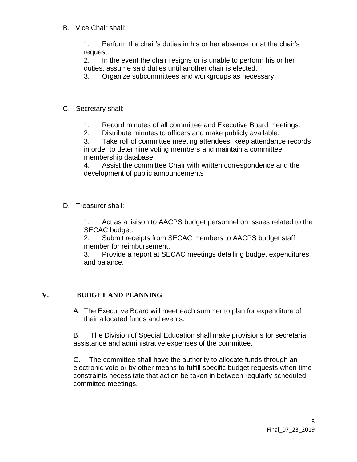B. Vice Chair shall:

1. Perform the chair's duties in his or her absence, or at the chair's request.

2. In the event the chair resigns or is unable to perform his or her duties, assume said duties until another chair is elected.

3. Organize subcommittees and workgroups as necessary.

# C. Secretary shall:

- 1. Record minutes of all committee and Executive Board meetings.
- 2. Distribute minutes to officers and make publicly available.

3. Take roll of committee meeting attendees, keep attendance records in order to determine voting members and maintain a committee membership database.

4. Assist the committee Chair with written correspondence and the development of public announcements

D. Treasurer shall:

1. Act as a liaison to AACPS budget personnel on issues related to the SECAC budget.

2. Submit receipts from SECAC members to AACPS budget staff member for reimbursement.

3. Provide a report at SECAC meetings detailing budget expenditures and balance.

# **V. BUDGET AND PLANNING**

A. The Executive Board will meet each summer to plan for expenditure of their allocated funds and events.

B. The Division of Special Education shall make provisions for secretarial assistance and administrative expenses of the committee.

C. The committee shall have the authority to allocate funds through an electronic vote or by other means to fulfill specific budget requests when time constraints necessitate that action be taken in between regularly scheduled committee meetings.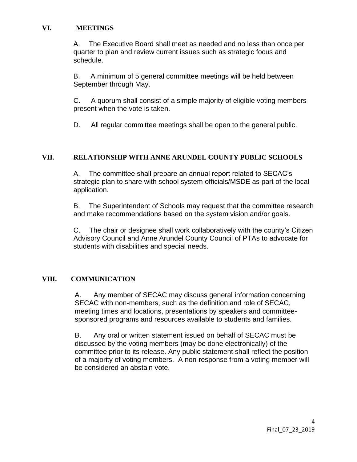#### **VI. MEETINGS**

A. The Executive Board shall meet as needed and no less than once per quarter to plan and review current issues such as strategic focus and schedule.

B. A minimum of 5 general committee meetings will be held between September through May.

C. A quorum shall consist of a simple majority of eligible voting members present when the vote is taken.

D. All regular committee meetings shall be open to the general public.

#### **VII. RELATIONSHIP WITH ANNE ARUNDEL COUNTY PUBLIC SCHOOLS**

A. The committee shall prepare an annual report related to SECAC's strategic plan to share with school system officials/MSDE as part of the local application.

B. The Superintendent of Schools may request that the committee research and make recommendations based on the system vision and/or goals.

C. The chair or designee shall work collaboratively with the county's Citizen Advisory Council and Anne Arundel County Council of PTAs to advocate for students with disabilities and special needs.

#### **VIII. COMMUNICATION**

A. Any member of SECAC may discuss general information concerning SECAC with non-members, such as the definition and role of SECAC, meeting times and locations, presentations by speakers and committeesponsored programs and resources available to students and families.

B. Any oral or written statement issued on behalf of SECAC must be discussed by the voting members (may be done electronically) of the committee prior to its release. Any public statement shall reflect the position of a majority of voting members. A non-response from a voting member will be considered an abstain vote.